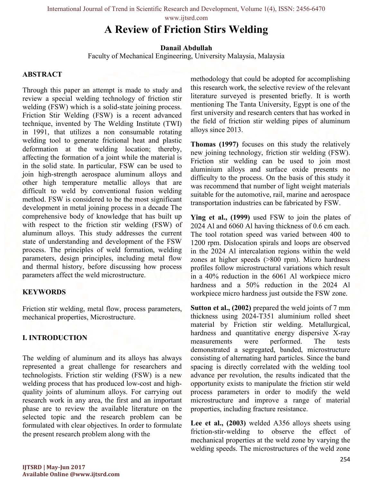www.ijtsrd.com

# A Review of Friction Stirs Welding

## Danail Abdullah

Faculty of Mechanical Engineering, University Malaysia, Malaysia

#### ABSTRACT

Through this paper an attempt is made to study and review a special welding technology of friction stir welding (FSW) which is a solid-state joining process. Friction Stir Welding (FSW) is a recent advanced technique, invented by The Welding Institute (TWI) in 1991, that utilizes a non consumable rotating welding tool to generate frictional heat and plastic deformation at the welding location; thereby, affecting the formation of a joint while the material is in the solid state. In particular, FSW can be used to join high-strength aerospace aluminum alloys and other high temperature metallic alloys that are difficult to weld by conventional fusion welding method. FSW is considered to be the most significant development in metal joining process in a decade The comprehensive body of knowledge that has built up with respect to the friction stir welding (FSW) of aluminum alloys. This study addresses the current state of understanding and development of the FSW process. The principles of weld formation, welding parameters, design principles, including metal flow and thermal history, before discussing how process parameters affect the weld microstructure.

## **KEYWORDS**

Friction stir welding, metal flow, process parameters, mechanical properties, Microstructure.

## I. INTRODUCTION

The welding of aluminum and its alloys has always represented a great challenge for researchers and technologists. Friction stir welding (FSW) is a new welding process that has produced low-cost and highquality joints of aluminum alloys. For carrying out research work in any area, the first and an important phase are to review the available literature on the selected topic and the research problem can be formulated with clear objectives. In order to formulate the present research problem along with the

methodology that could be adopted for accomplishing this research work, the selective review of the relevant literature surveyed is presented briefly. It is worth mentioning The Tanta University, Egypt is one of the first university and research centers that has worked in the field of friction stir welding pipes of aluminum alloys since 2013.

Thomas (1997) focuses on this study the relatively new joining technology, friction stir welding (FSW). Friction stir welding can be used to join most aluminium alloys and surface oxide presents no difficulty to the process. On the basis of this study it was recommend that number of light weight materials suitable for the automotive, rail, marine and aerospace transportation industries can be fabricated by FSW.

Ying et al., (1999) used FSW to join the plates of 2024 Al and 6060 Al having thickness of 0.6 cm each. The tool rotation speed was varied between 400 to 1200 rpm. Dislocation spirals and loops are observed in the 2024 Al intercalation regions within the weld zones at higher speeds (>800 rpm). Micro hardness profiles follow microstructural variations which result in a 40% reduction in the 6061 Al workpiece micro hardness and a 50% reduction in the 2024 Al workpiece micro hardness just outside the FSW zone.

Sutton et al., (2002) prepared the weld joints of 7 mm thickness using 2024-T351 aluminium rolled sheet material by Friction stir welding. Metallurgical, hardness and quantitative energy dispersive X-ray measurements were performed. The tests demonstrated a segregated, banded, microstructure consisting of alternating hard particles. Since the band spacing is directly correlated with the welding tool advance per revolution, the results indicated that the opportunity exists to manipulate the friction stir weld process parameters in order to modify the weld microstructure and improve a range of material properties, including fracture resistance.

Lee et al., (2003) welded A356 alloys sheets using friction-stir-welding to observe the effect of mechanical properties at the weld zone by varying the welding speeds. The microstructures of the weld zone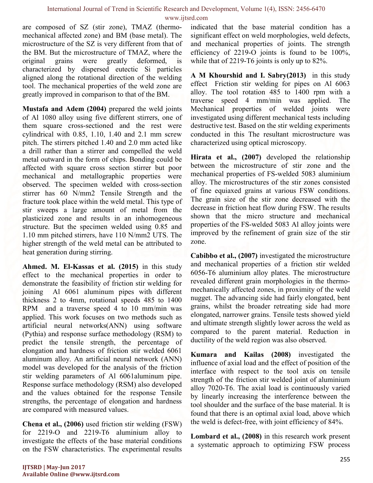are composed of SZ (stir zone), TMAZ (thermomechanical affected zone) and BM (base metal). The microstructure of the SZ is very different from that of the BM. But the microstructure of TMAZ, where the original grains were greatly deformed, is characterized by dispersed eutectic Si particles aligned along the rotational direction of the welding tool. The mechanical properties of the weld zone are greatly improved in comparison to that of the BM.

Mustafa and Adem (2004) prepared the weld joints of Al 1080 alloy using five different stirrers, one of them square cross-sectioned and the rest were cylindrical with 0.85, 1.10, 1.40 and 2.1 mm screw pitch. The stirrers pitched 1.40 and 2.0 mm acted like a drill rather than a stirrer and compelled the weld metal outward in the form of chips. Bonding could be affected with square cross section stirrer but poor mechanical and metallographic properties were observed. The specimen welded with cross-section stirrer has 60 N/mm2 Tensile Strength and the fracture took place within the weld metal. This type of stir sweeps a large amount of metal from the plasticized zone and results in an inhomogeneous structure. But the specimen welded using 0.85 and 1.10 mm pitched stirrers, have 110 N/mm2 UTS. The higher strength of the weld metal can be attributed to heat generation during stirring.

Ahmed. M. El-Kassas et al. (2015) in this study effect to the mechanical properties in order to demonstrate the feasibility of friction stir welding for joining Al 6061 aluminum pipes with different thickness 2 to 4mm, rotational speeds 485 to 1400 RPM and a traverse speed 4 to 10 mm/min was applied. This work focuses on two methods such as artificial neural networks(ANN) using software (Pythia) and response surface methodology (RSM) to predict the tensile strength, the percentage of elongation and hardness of friction stir welded 6061 aluminum alloy. An artificial neural network (ANN) model was developed for the analysis of the friction stir welding parameters of Al 6061aluminum pipe. Response surface methodology (RSM) also developed and the values obtained for the response Tensile strengths, the percentage of elongation and hardness are compared with measured values.

Chena et al., (2006) used friction stir welding (FSW) for 2219-O and 2219-T6 aluminium alloy to investigate the effects of the base material conditions on the FSW characteristics. The experimental results indicated that the base material condition has a significant effect on weld morphologies, weld defects, and mechanical properties of joints. The strength efficiency of 2219-O joints is found to be 100%, while that of 2219-T6 joints is only up to 82%.

A M Khourshid and I. Sabry(2013) in this study effect Friction stir welding for pipes on Al 6063 alloy. The tool rotation 485 to 1400 rpm with a traverse speed 4 mm/min was applied. The Mechanical properties of welded joints were investigated using different mechanical tests including destructive test. Based on the stir welding experiments conducted in this The resultant microstructure was characterized using optical microscopy.

Hirata et al., (2007) developed the relationship between the microstructure of stir zone and the mechanical properties of FS-welded 5083 aluminium alloy. The microstructures of the stir zones consisted of fine equiaxed grains at various FSW conditions. The grain size of the stir zone decreased with the decrease in friction heat flow during FSW. The results shown that the micro structure and mechanical properties of the FS-welded 5083 Al alloy joints were improved by the refinement of grain size of the stir zone.

Cabibbo et al., (2007) investigated the microstructure and mechanical properties of a friction stir welded 6056-T6 aluminium alloy plates. The microstructure revealed different grain morphologies in the thermomechanically affected zones, in proximity of the weld nugget. The advancing side had fairly elongated, bent grains, whilst the broader retreating side had more elongated, narrower grains. Tensile tests showed yield and ultimate strength slightly lower across the weld as compared to the parent material. Reduction in ductility of the weld region was also observed.

Kumara and Kailas (2008) investigated the influence of axial load and the effect of position of the interface with respect to the tool axis on tensile strength of the friction stir welded joint of aluminium alloy 7020-T6. The axial load is continuously varied by linearly increasing the interference between the tool shoulder and the surface of the base material. It is found that there is an optimal axial load, above which the weld is defect-free, with joint efficiency of 84%.

Lombard et al., (2008) in this research work present a systematic approach to optimizing FSW process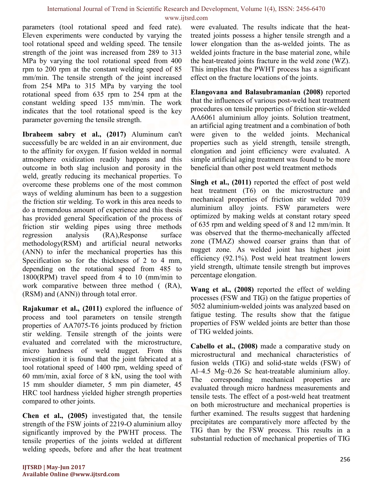parameters (tool rotational speed and feed rate). Eleven experiments were conducted by varying the tool rotational speed and welding speed. The tensile strength of the joint was increased from 289 to 313 MPa by varying the tool rotational speed from 400 rpm to 200 rpm at the constant welding speed of 85 mm/min. The tensile strength of the joint increased from 254 MPa to 315 MPa by varying the tool rotational speed from 635 rpm to 254 rpm at the constant welding speed 135 mm/min. The work indicates that the tool rotational speed is the key parameter governing the tensile strength.

Ibraheem sabry et al., (2017) Aluminum can't successfully be arc welded in an air environment, due to the affinity for oxygen. If fusion welded in normal atmosphere oxidization readily happens and this outcome in both slag inclusion and porosity in the weld, greatly reducing its mechanical properties. To overcome these problems one of the most common ways of welding aluminum has been to a suggestion the friction stir welding. To work in this area needs to do a tremendous amount of experience and this thesis has provided general Specification of the process of friction stir welding pipes using three methods regression analysis (RA),Response surface methodology(RSM) and artificial neural networks (ANN) to infer the mechanical properties has this Specification so for the thickness of 2 to 4 mm, depending on the rotational speed from 485 to 1800(RPM) travel speed from 4 to 10 (mm/min to work comparative between three method ( (RA), (RSM) and (ANN)) through total error.

Rajakumar et al., (2011) explored the influence of process and tool parameters on tensile strength properties of AA7075-T6 joints produced by friction stir welding. Tensile strength of the joints were evaluated and correlated with the microstructure, micro hardness of weld nugget. From this investigation it is found that the joint fabricated at a tool rotational speed of 1400 rpm, welding speed of 60 mm/min, axial force of 8 kN, using the tool with 15 mm shoulder diameter, 5 mm pin diameter, 45 HRC tool hardness yielded higher strength properties compared to other joints.

Chen et al., (2005) investigated that, the tensile strength of the FSW joints of 2219-O aluminium alloy significantly improved by the PWHT process. The tensile properties of the joints welded at different welding speeds, before and after the heat treatment were evaluated. The results indicate that the heattreated joints possess a higher tensile strength and a lower elongation than the as-welded joints. The as welded joints fracture in the base material zone, while the heat-treated joints fracture in the weld zone (WZ). This implies that the PWHT process has a significant effect on the fracture locations of the joints.

Elangovana and Balasubramanian (2008) reported that the influences of various post-weld heat treatment procedures on tensile properties of friction stir-welded AA6061 aluminium alloy joints. Solution treatment, an artificial aging treatment and a combination of both were given to the welded joints. Mechanical properties such as yield strength, tensile strength, elongation and joint efficiency were evaluated. A simple artificial aging treatment was found to be more beneficial than other post weld treatment methods

Singh et al., (2011) reported the effect of post weld heat treatment (T6) on the microstructure and mechanical properties of friction stir welded 7039 aluminium alloy joints. FSW parameters were optimized by making welds at constant rotary speed of 635 rpm and welding speed of 8 and 12 mm/min. It was observed that the thermo-mechanically affected zone (TMAZ) showed coarser grains than that of nugget zone. As welded joint has highest joint efficiency (92.1%). Post weld heat treatment lowers yield strength, ultimate tensile strength but improves percentage elongation.

Wang et al., (2008) reported the effect of welding processes (FSW and TIG) on the fatigue properties of 5052 aluminium-welded joints was analyzed based on fatigue testing. The results show that the fatigue properties of FSW welded joints are better than those of TIG welded joints.

Cabello et al., (2008) made a comparative study on microstructural and mechanical characteristics of fusion welds (TIG) and solid-state welds (FSW) of Al–4.5 Mg–0.26 Sc heat-treatable aluminium alloy. The corresponding mechanical properties are evaluated through micro hardness measurements and tensile tests. The effect of a post-weld heat treatment on both microstructure and mechanical properties is further examined. The results suggest that hardening precipitates are comparatively more affected by the TIG than by the FSW process. This results in a substantial reduction of mechanical properties of TIG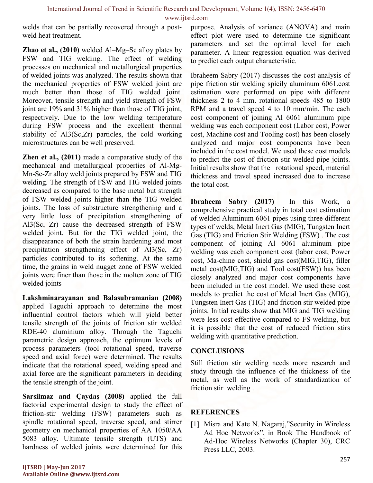welds that can be partially recovered through a postweld heat treatment.

Zhao et al., (2010) welded Al–Mg–Sc alloy plates by FSW and TIG welding. The effect of welding processes on mechanical and metallurgical properties of welded joints was analyzed. The results shown that the mechanical properties of FSW welded joint are much better than those of TIG welded joint. Moreover, tensile strength and yield strength of FSW joint are 19% and 31% higher than those of TIG joint, respectively. Due to the low welding temperature during FSW process and the excellent thermal stability of Al3(Sc,Zr) particles, the cold working microstructures can be well preserved.

Zhen et al., (2011) made a comparative study of the mechanical and metallurgical properties of Al-Mg-Mn-Sc-Zr alloy weld joints prepared by FSW and TIG welding. The strength of FSW and TIG welded joints decreased as compared to the base metal but strength of FSW welded joints higher than the TIG welded joints. The loss of substructure strengthening and a very little loss of precipitation strengthening of Al3(Sc, Zr) cause the decreased strength of FSW welded joint. But for the TIG welded joint, the disappearance of both the strain hardening and most precipitation strengthening effect of Al3(Sc, Zr) particles contributed to its softening. At the same time, the grains in weld nugget zone of FSW welded joints were finer than those in the molten zone of TIG welded joints

Lakshminarayanan and Balasubramanian (2008) applied Taguchi approach to determine the most influential control factors which will yield better tensile strength of the joints of friction stir welded RDE-40 aluminium alloy. Through the Taguchi parametric design approach, the optimum levels of process parameters (tool rotational speed, traverse speed and axial force) were determined. The results indicate that the rotational speed, welding speed and axial force are the significant parameters in deciding the tensile strength of the joint.

Sarsilmaz and Çaydaş (2008) applied the full factorial experimental design to study the effect of friction-stir welding (FSW) parameters such as spindle rotational speed, traverse speed, and stirrer geometry on mechanical properties of AA 1050/AA 5083 alloy. Ultimate tensile strength (UTS) and hardness of welded joints were determined for this purpose. Analysis of variance (ANOVA) and main effect plot were used to determine the significant parameters and set the optimal level for each parameter. A linear regression equation was derived to predict each output characteristic.

Ibraheem Sabry (2017) discusses the cost analysis of pipe friction stir welding spicily aluminum 6061.cost estimation were performed on pipe with different thickness 2 to 4 mm. rotational speeds 485 to 1800 RPM and a travel speed 4 to 10 mm/min. The each cost component of joining Al 6061 aluminum pipe welding was each component cost (Labor cost, Power cost, Machine cost and Tooling cost) has been closely analyzed and major cost components have been included in the cost model. We used these cost models to predict the cost of friction stir welded pipe joints. Initial results show that the rotational speed, material thickness and travel speed increased due to increase the total cost.

Ibraheem Sabry (2017) In this Work, a comprehensive practical study in total cost estimation of welded Aluminum 6061 pipes using three different types of welds, Metal Inert Gas (MIG), Tungsten Inert Gas (TIG) and Friction Stir Welding (FSW) . The cost component of joining Al 6061 aluminum pipe welding was each component cost (labor cost, Power cost, Ma-chine cost, shield gas cost(MIG,TIG), filler metal cost(MIG,TIG) and Tool cost(FSW)) has been closely analyzed and major cost components have been included in the cost model. We used these cost models to predict the cost of Metal Inert Gas (MIG), Tungsten Inert Gas (TIG) and friction stir welded pipe joints. Initial results show that MIG and TIG welding were less cost effective compared to FS welding, but it is possible that the cost of reduced friction stirs welding with quantitative prediction.

### **CONCLUSIONS**

Still friction stir welding needs more research and study through the influence of the thickness of the metal, as well as the work of standardization of friction stir welding .

### **REFERENCES**

[1] Misra and Kate N. Nagaraj,"Security in Wireless Ad Hoc Networks", in Book The Handbook of Ad-Hoc Wireless Networks (Chapter 30), CRC Press LLC, 2003.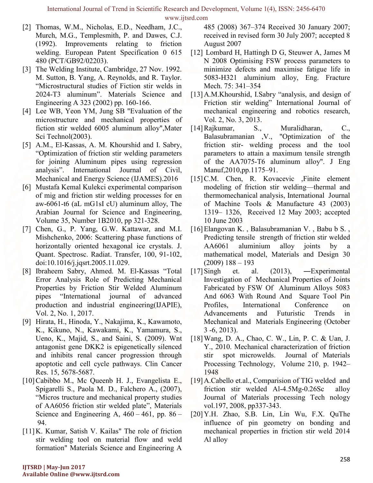International Journal of Trend in Scientific Research and Development, Volume 1(4), ISSN: 2456-6470 www.ijtsrd.com

- [2] Thomas, W.M., Nicholas, E.D., Needham, J.C., Murch, M.G., Templesmith, P. and Dawes, C.J. (1992). Improvements relating to friction welding. European Patent Specification 0 615 480 (PCT/GB92/02203).
- [3] The Welding Institute, Cambridge, 27 Nov. 1992. M. Sutton, B. Yang, A. Reynolds, and R. Taylor. "Microstructural studies of Fiction stir welds in 2024-T3 aluminum". Materials Science and Engineering A 323 (2002) pp. 160-166.
- [4] Lee WB, Yeon YM, Jung SB "Evaluation of the microstructure and mechanical properties of fiction stir welded 6005 aluminum alloy",Mater Sci Technol(2003).
- [5] A.M., El-Kassas, A. M. Khourshid and I. Sabry, "Optimization of friction stir welding parameters for joining Aluminum pipes using regression analysis". International Journal of Civil, Mechanical and Energy Science (IJAMES).2016
- [6] Mustafa Kemal Kulekci experimental comparison of mig and friction stir welding processes for en aw-6061-t6 (aL mG1sI cU) aluminum alloy, The Arabian Journal for Science and Engineering, Volume 35, Number 1B2010, pp 321-328.
- [7] Chen, G., P. Yang, G.W. Kattawar, and M.I. Mishchenko, 2006: Scattering phase functions of horizontally oriented hexagonal ice crystals. J. Quant. Spectrosc. Radiat. Transfer, 100, 91-102, doi:10.1016/j.jqsrt.2005.11.029.
- [8] Ibraheem Sabry, Ahmed. M. El-Kassas "Total Error Analysis Role of Predicting Mechanical Properties by Friction Stir Welded Aluminum pipes "International journal of advanced production and industrial engineering(IJAPIE), Vol. 2, No. 1, 2017.
- [9] Hirata, H., Hinoda, Y., Nakajima, K., Kawamoto, K., Kikuno, N., Kawakami, K., Yamamura, S., Ueno, K., Majid, S., and Saini, S. (2009). Wnt antagonist gene DKK2 is epigenetically silenced and inhibits renal cancer progression through apoptotic and cell cycle pathways. Clin Cancer Res. 15, 5678-5687.
- [10]Cabibbo M., Mc Queenb H. J., Evangelista E., Spigarelli S., Paola M. D., Falchero A., (2007), "Micros tructure and mechanical property studies of AA6056 friction stir welded plate", Materials Science and Engineering A,  $460 - 461$ , pp.  $86 -$ 94.
- [11]K. Kumar, Satish V. Kailas" The role of friction stir welding tool on material flow and weld formation" Materials Science and Engineering A
- [12] Lombard H, Hattingh D G, Steuwer A, James M N 2008 Optimising FSW process parameters to minimize defects and maximise fatigue life in 5083-H321 aluminium alloy, Eng. Fracture Mech. 75: 341–354
- [13] A.M.Khourshid, I.Sabry "analysis, and design of Friction stir welding" International Journal of mechanical engineering and robotics research, Vol. 2, No. 3, 2013.
- [14]Rajkumar, S., Muralidharan, C., Balasubramanian ,V., "Optimization of the friction stir- welding process and the tool parameters to attain a maximum tensile strength of the AA7075-T6 aluminum alloy". J Eng Manuf,2010,pp.1175–91.
- [15] C.M. Chen, R. Kovacevic ,Finite element modeling of friction stir welding—thermal and thermomechanical analysis, International Journal of Machine Tools & Manufacture 43 (2003) 1319– 1326, Received 12 May 2003; accepted 10 June 2003
- [16] Elangovan K., Balasubramanian V., Babu b S., Predicting tensile strength of friction stir welded AA6061 aluminium alloy joints by mathematical model, Materials and Design 30 (2009) 188 – 193
- [17] Singh et. al. (2013), —Experimental Investigation of Mechanical Properties of Joints Fabricated by FSW Of Aluminum Alloys 5083 And 6063 With Round And Square Tool Pin Profiles, International Conference on Advancements and Futuristic Trends in Mechanical and Materials Engineering (October 3 -6, 2013).
- [18]Wang, D. A., Chao, C. W., Lin, P. C. & Uan, J. Y., 2010. Mechanical characterization of friction stir spot microwelds. Journal of Materials Processing Technology, Volume 210, p. 1942– 1948
- [19] A.Cabello et.al., Comparision of TIG welded and friction stir welded Al-4.5Mg-0.26Sc alloy Journal of Materials processing Tech nology vol.197, 2008, pp337-343.
- [20]Y.H. Zhao, S.B. Lin, Lin Wu, F.X. QuThe influence of pin geometry on bonding and mechanical properties in friction stir weld 2014 Al alloy